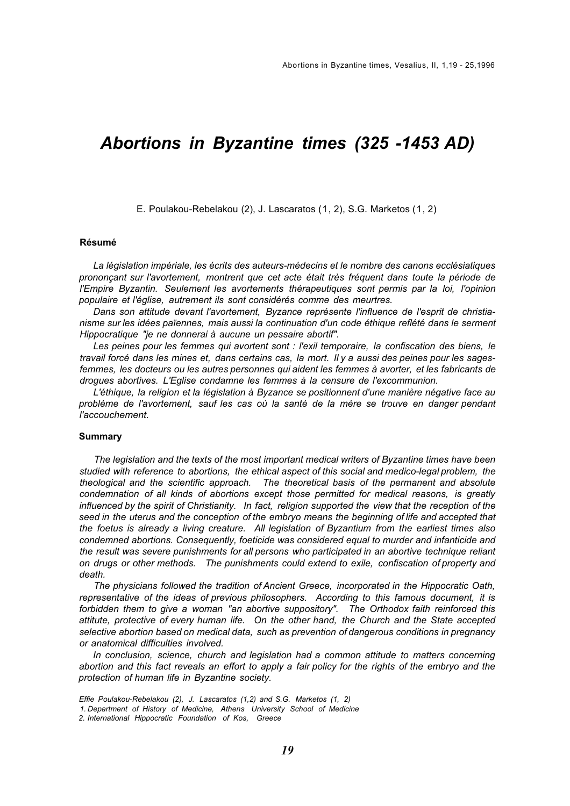# *Abortions in Byzantine times (325 -1453 AD)*

E. Poulakou-Rebelakou (2), J. Lascaratos (1, 2), S.G. Marketos (1, 2)

## **Résumé**

*La législation impériale, les écrits des auteurs-médecins et le nombre des canons ecclésiatiques prononçant sur l'avortement, montrent que cet acte était très fréquent dans toute la période de l'Empire Byzantin. Seulement les avortements thérapeutiques sont permis par la loi, l'opinion populaire et l'église, autrement ils sont considérés comme des meurtres.* 

*Dans son attitude devant l'avortement, Byzance représente l'influence de l'esprit de christianisme sur les idées païennes, mais aussi la continuation d'un code éthique reflété dans le serment Hippocratique "je ne donnerai à aucune un pessaire abortif".* 

*Les peines pour les femmes qui avortent sont : l'exil temporaire, la confiscation des biens, le travail forcé dans les mines et, dans certains cas, la mort. Il y a aussi des peines pour les sagesfemmes, les docteurs ou les autres personnes qui aident les femmes à avorter, et les fabricants de drogues abortives. L'Eglise condamne les femmes à la censure de l'excommunion.* 

*L'éthique, la religion et la législation à Byzance se positionnent d'une manière négative face au problème de l'avortement, sauf les cas où la santé de la mère se trouve en danger pendant l'accouchement.*

#### **Summary**

*The legislation and the texts of the most important medical writers of Byzantine times have been studied with reference to abortions, the ethical aspect of this social and medico-legal problem, the theological and the scientific approach. The theoretical basis of the permanent and absolute condemnation of all kinds of abortions except those permitted for medical reasons, is greatly influenced by the spirit of Christianity. In fact, religion supported the view that the reception of the seed in the uterus and the conception of the embryo means the beginning of life and accepted that the foetus is already a living creature. All legislation of Byzantium from the earliest times also condemned abortions. Consequently, foeticide was considered equal to murder and infanticide and the result was severe punishments for all persons who participated in an abortive technique reliant on drugs or other methods. The punishments could extend to exile, confiscation of property and death.*

*The physicians followed the tradition of Ancient Greece, incorporated in the Hippocratic Oath, representative of the ideas of previous philosophers. According to this famous document, it is forbidden them to give a woman "an abortive suppository". The Orthodox faith reinforced this attitute, protective of every human life. On the other hand, the Church and the State accepted selective abortion based on medical data, such as prevention of dangerous conditions in pregnancy or anatomical difficulties involved.* 

*In conclusion, science, church and legislation had a common attitude to matters concerning abortion and this fact reveals an effort to apply a fair policy for the rights of the embryo and the protection of human life in Byzantine society.* 

*Effie Poulakou-Rebelakou (2), J. Lascaratos (1,2) and S.G. Marketos (1, 2)* 

*<sup>1.</sup> Department of History of Medicine, Athens University School of Medicine* 

*<sup>2.</sup> International Hippocratic Foundation of Kos, Greece*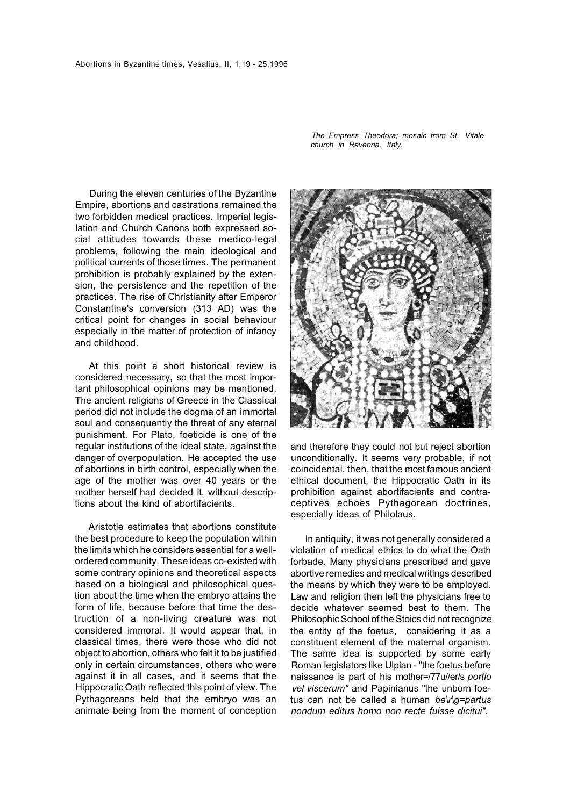During the eleven centuries of the Byzantine Empire, abortions and castrations remained the two forbidden medical practices. Imperial legislation and Church Canons both expressed social attitudes towards these medico-legal problems, following the main ideological and political currents of those times. The permanent prohibition is probably explained by the extension, the persistence and the repetition of the practices. The rise of Christianity after Emperor Constantine's conversion (313 AD) was the critical point for changes in social behaviour especially in the matter of protection of infancy and childhood.

At this point a short historical review is considered necessary, so that the most important philosophical opinions may be mentioned. The ancient religions of Greece in the Classical period did not include the dogma of an immortal soul and consequently the threat of any eternal punishment. For Plato, foeticide is one of the regular institutions of the ideal state, against the danger of overpopulation. He accepted the use of abortions in birth control, especially when the age of the mother was over 40 years or the mother herself had decided it, without descriptions about the kind of abortifacients.

Aristotle estimates that abortions constitute the best procedure to keep the population within the limits which he considers essential for a wellordered community. These ideas co-existed with some contrary opinions and theoretical aspects based on a biological and philosophical question about the time when the embryo attains the form of life, because before that time the destruction of a non-living creature was not considered immoral. It would appear that, in classical times, there were those who did not object to abortion, others who felt it to be justified only in certain circumstances, others who were against it in all cases, and it seems that the Hippocratic Oath reflected this point of view. The Pythagoreans held that the embryo was an animate being from the moment of conception

*The Empress Theodora; mosaic from St. Vitale church in Ravenna, Italy.* 



and therefore they could not but reject abortion unconditionally. It seems very probable, if not coincidental, then, that the most famous ancient ethical document, the Hippocratic Oath in its prohibition against abortifacients and contraceptives echoes Pythagorean doctrines, especially ideas of Philolaus.

In antiquity, it was not generally considered a violation of medical ethics to do what the Oath forbade. Many physicians prescribed and gave abortive remedies and medical writings described the means by which they were to be employed. Law and religion then left the physicians free to decide whatever seemed best to them. The Philosophic School of the Stoics did not recognize the entity of the foetus, considering it as a constituent element of the maternal organism. The same idea is supported by some early Roman legislators like Ulpian - "the foetus before naissance is part of his mother=/77u//er/s *portio vel viscerum"* and Papinianus "the unborn foetus can not be called a human *be\r\g=partus nondum editus homo non recte fuisse dicitui".*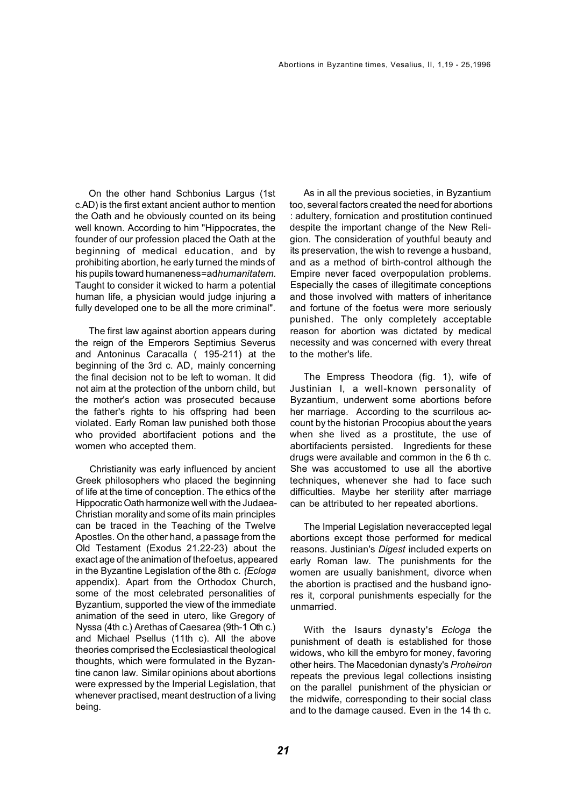On the other hand Schbonius Largus (1st c.AD) is the first extant ancient author to mention the Oath and he obviously counted on its being well known. According to him "Hippocrates, the founder of our profession placed the Oath at the beginning of medical education, and by prohibiting abortion, he early turned the minds of his pupils toward humaneness=ad*humanitatem.* Taught to consider it wicked to harm a potential human life, a physician would judge injuring a fully developed one to be all the more criminal".

The first law against abortion appears during the reign of the Emperors Septimius Severus and Antoninus Caracalla ( 195-211) at the beginning of the 3rd c. AD, mainly concerning the final decision not to be left to woman. It did not aim at the protection of the unborn child, but the mother's action was prosecuted because the father's rights to his offspring had been violated. Early Roman law punished both those who provided abortifacient potions and the women who accepted them.

Christianity was early influenced by ancient Greek philosophers who placed the beginning of life at the time of conception. The ethics of the Hippocratic Oath harmonize well with the Judaea-Christian morality and some of its main principles can be traced in the Teaching of the Twelve Apostles. On the other hand, a passage from the Old Testament (Exodus 21.22-23) about the exact age of the animation of thefoetus, appeared in the Byzantine Legislation of the 8th c. *(Ecloga*  appendix). Apart from the Orthodox Church, some of the most celebrated personalities of Byzantium, supported the view of the immediate animation of the seed in utero, like Gregory of Nyssa (4th c.) Arethas of Caesarea (9th-1 Oth c.) and Michael Psellus (11th c). All the above theories comprised the Ecclesiastical theological thoughts, which were formulated in the Byzantine canon law. Similar opinions about abortions were expressed by the Imperial Legislation, that whenever practised, meant destruction of a living being.

As in all the previous societies, in Byzantium too, several factors created the need for abortions : adultery, fornication and prostitution continued despite the important change of the New Religion. The consideration of youthful beauty and its preservation, the wish to revenge a husband, and as a method of birth-control although the Empire never faced overpopulation problems. Especially the cases of illegitimate conceptions and those involved with matters of inheritance and fortune of the foetus were more seriously punished. The only completely acceptable reason for abortion was dictated by medical necessity and was concerned with every threat to the mother's life.

The Empress Theodora (fig. 1), wife of Justinian I, a well-known personality of Byzantium, underwent some abortions before her marriage. According to the scurrilous account by the historian Procopius about the years when she lived as a prostitute, the use of abortifacients persisted. Ingredients for these drugs were available and common in the 6 th c. She was accustomed to use all the abortive techniques, whenever she had to face such difficulties. Maybe her sterility after marriage can be attributed to her repeated abortions.

The Imperial Legislation neveraccepted legal abortions except those performed for medical reasons. Justinian's *Digest* included experts on early Roman law. The punishments for the women are usually banishment, divorce when the abortion is practised and the husband ignores it, corporal punishments especially for the unmarried.

With the Isaurs dynasty's *Ecloga* the punishment of death is established for those widows, who kill the embyro for money, favoring other heirs. The Macedonian dynasty's *Proheiron*  repeats the previous legal collections insisting on the parallel punishment of the physician or the midwife, corresponding to their social class and to the damage caused. Even in the 14 th c.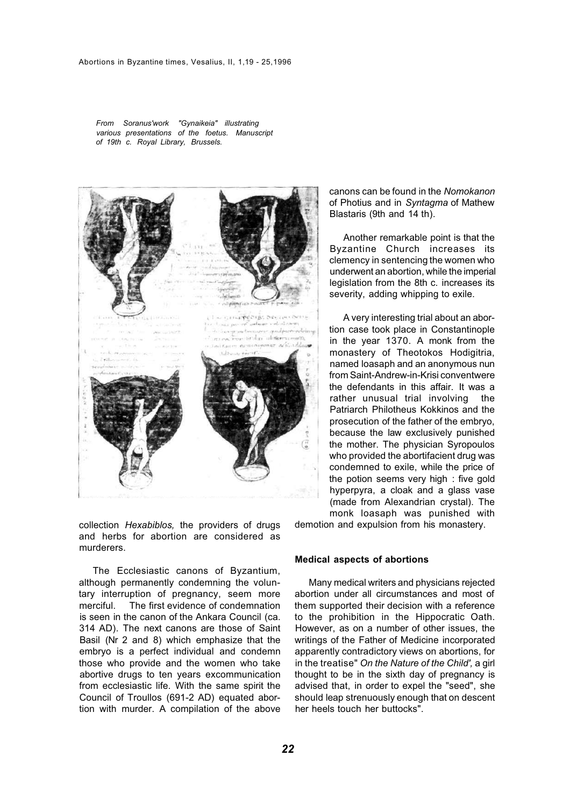*From Soranus'work "Gynaikeia" illustrating various presentations of the foetus. Manuscript of 19th c. Royal Library, Brussels.* 



collection *Hexabiblos,* the providers of drugs and herbs for abortion are considered as murderers.

The Ecclesiastic canons of Byzantium, although permanently condemning the voluntary interruption of pregnancy, seem more merciful. The first evidence of condemnation is seen in the canon of the Ankara Council (ca. 314 AD). The next canons are those of Saint Basil (Nr 2 and 8) which emphasize that the embryo is a perfect individual and condemn those who provide and the women who take abortive drugs to ten years excommunication from ecclesiastic life. With the same spirit the Council of Troullos (691-2 AD) equated abortion with murder. A compilation of the above

canons can be found in the *Nomokanon*  of Photius and in *Syntagma* of Mathew Blastaris (9th and 14 th).

Another remarkable point is that the Byzantine Church increases its clemency in sentencing the women who underwent an abortion, while the imperial legislation from the 8th c. increases its severity, adding whipping to exile.

A very interesting trial about an abortion case took place in Constantinople in the year 1370. A monk from the monastery of Theotokos Hodigitria, named loasaph and an anonymous nun from Saint-Andrew-in-Krisi conventwere the defendants in this affair. It was a rather unusual trial involving the Patriarch Philotheus Kokkinos and the prosecution of the father of the embryo, because the law exclusively punished the mother. The physician Syropoulos who provided the abortifacient drug was condemned to exile, while the price of the potion seems very high : five gold hyperpyra, a cloak and a glass vase (made from Alexandrian crystal). The monk loasaph was punished with

demotion and expulsion from his monastery.

### **Medical aspects of abortions**

Many medical writers and physicians rejected abortion under all circumstances and most of them supported their decision with a reference to the prohibition in the Hippocratic Oath. However, as on a number of other issues, the writings of the Father of Medicine incorporated apparently contradictory views on abortions, for in the treatise" *On the Nature of the Child',* a girl thought to be in the sixth day of pregnancy is advised that, in order to expel the "seed", she should leap strenuously enough that on descent her heels touch her buttocks".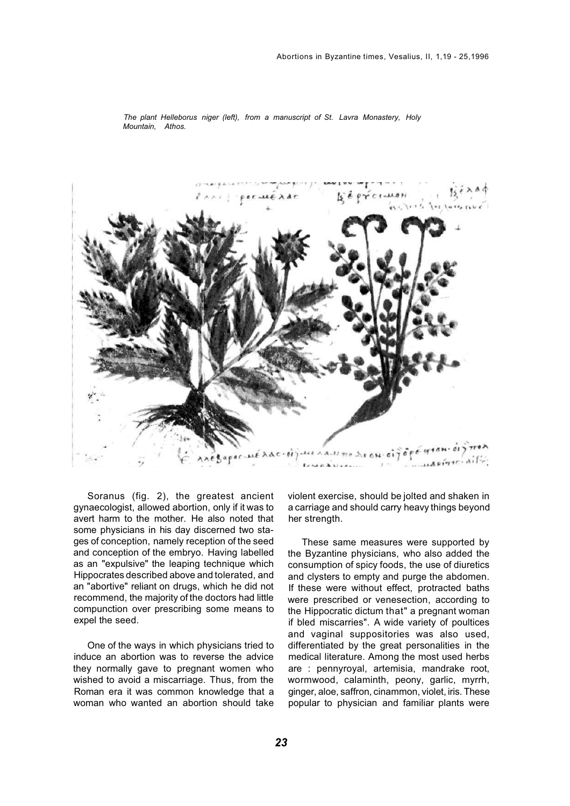

*The plant Helleborus niger (left), from a manuscript of St. Lavra Monastery, Holy Mountain, Athos.* 

Soranus (fig. 2), the greatest ancient gynaecologist, allowed abortion, only if it was to avert harm to the mother. He also noted that some physicians in his day discerned two stages of conception, namely reception of the seed and conception of the embryo. Having labelled as an "expulsive" the leaping technique which Hippocrates described above and tolerated, and an "abortive" reliant on drugs, which he did not recommend, the majority of the doctors had little compunction over prescribing some means to expel the seed.

One of the ways in which physicians tried to induce an abortion was to reverse the advice they normally gave to pregnant women who wished to avoid a miscarriage. Thus, from the Roman era it was common knowledge that a woman who wanted an abortion should take violent exercise, should be jolted and shaken in a carriage and should carry heavy things beyond her strength.

These same measures were supported by the Byzantine physicians, who also added the consumption of spicy foods, the use of diuretics and clysters to empty and purge the abdomen. If these were without effect, protracted baths were prescribed or venesection, according to the Hippocratic dictum that" a pregnant woman if bled miscarries". A wide variety of poultices and vaginal suppositories was also used, differentiated by the great personalities in the medical literature. Among the most used herbs are : pennyroyal, artemisia, mandrake root, wormwood, calaminth, peony, garlic, myrrh, ginger, aloe, saffron, cinammon, violet, iris. These popular to physician and familiar plants were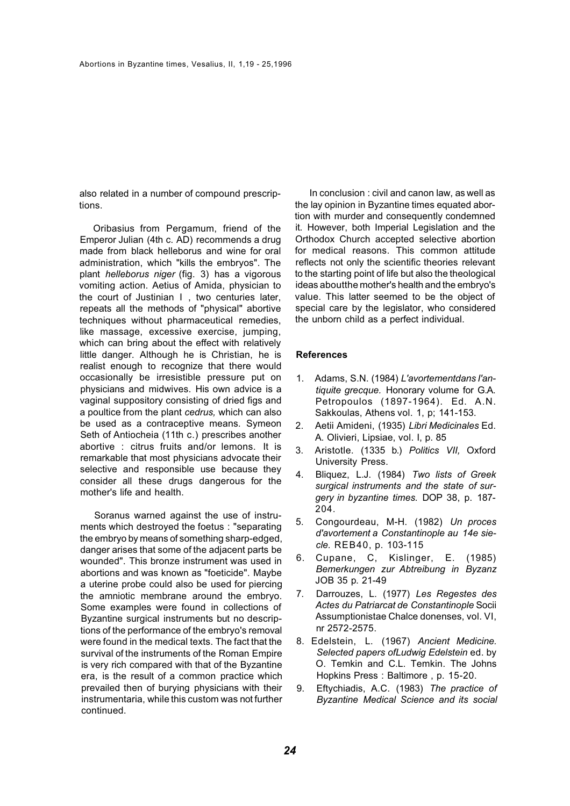also related in a number of compound prescriptions.

Oribasius from Pergamum, friend of the Emperor Julian (4th c. AD) recommends a drug made from black helleborus and wine for oral administration, which "kills the embryos". The plant *helleborus niger* (fig. 3) has a vigorous vomiting action. Aetius of Amida, physician to the court of Justinian I , two centuries later, repeats all the methods of "physical" abortive techniques without pharmaceutical remedies, like massage, excessive exercise, jumping, which can bring about the effect with relatively little danger. Although he is Christian, he is realist enough to recognize that there would occasionally be irresistible pressure put on physicians and midwives. His own advice is a vaginal suppository consisting of dried figs and a poultice from the plant *cedrus,* which can also be used as a contraceptive means. Symeon Seth of Antiocheia (11th c.) prescribes another abortive : citrus fruits and/or lemons. It is remarkable that most physicians advocate their selective and responsible use because they consider all these drugs dangerous for the mother's life and health

Soranus warned against the use of instruments which destroyed the foetus : "separating the embryo by means of something sharp-edged, danger arises that some of the adjacent parts be wounded". This bronze instrument was used in abortions and was known as "foeticide". Maybe a uterine probe could also be used for piercing the amniotic membrane around the embryo. Some examples were found in collections of Byzantine surgical instruments but no descriptions of the performance of the embryo's removal were found in the medical texts. The fact that the survival of the instruments of the Roman Empire is very rich compared with that of the Byzantine era, is the result of a common practice which prevailed then of burying physicians with their instrumentaria, while this custom was not further continued.

In conclusion : civil and canon law, as well as the lay opinion in Byzantine times equated abortion with murder and consequently condemned it. However, both Imperial Legislation and the Orthodox Church accepted selective abortion for medical reasons. This common attitude reflects not only the scientific theories relevant to the starting point of life but also the theological ideas aboutthe mother's health and the embryo's value. This latter seemed to be the object of special care by the legislator, who considered the unborn child as a perfect individual.

## **References**

- 1. Adams, S.N. (1984) *L'avortementdans I'antiquite grecque.* Honorary volume for G.A. Petropoulos (1897-1964). Ed. A.N. Sakkoulas, Athens vol. 1, p; 141-153.
- 2. Aetii Amideni, (1935) *Libri Medicinales* Ed. A. Olivieri, Lipsiae, vol. I, p. 85
- 3. Aristotle. (1335 b.) *Politics VII,* Oxford University Press.
- 4. Bliquez, L.J. (1984) *Two lists of Greek surgical instruments and the state of surgery in byzantine times.* DOP 38, p. 187- 204.
- 5. Congourdeau, M-H. (1982) *Un proces d'avortement a Constantinople au 14e siecle.* REB40, p. 103-115
- 6. Cupane, C, Kislinger, E. (1985) *Bemerkungen zur Abtreibung in Byzanz*  JOB 35 p. 21-49
- 7. Darrouzes, L. (1977) *Les Regestes des Actes du Patriarcat de Constantinople* Socii Assumptionistae Chalce donenses, vol. VI, nr 2572-2575.
- 8. Edelstein, L. (1967) *Ancient Medicine. Selected papers ofLudwig Edelstein* ed. by O. Temkin and C.L. Temkin. The Johns Hopkins Press : Baltimore , p. 15-20.
- 9. Eftychiadis, A.C. (1983) *The practice of Byzantine Medical Science and its social*